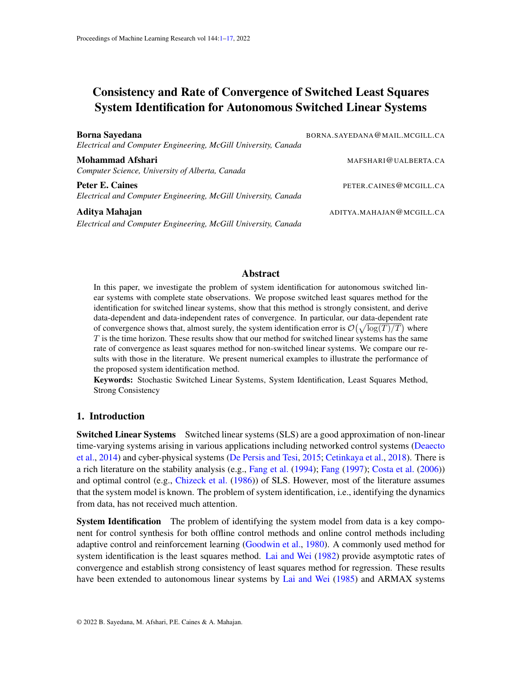# <span id="page-0-0"></span>Consistency and Rate of Convergence of Switched Least Squares System Identification for Autonomous Switched Linear Systems

Borna Sayedana BORNA.SAYEDANA@MAIL.MCGILL.CA *Electrical and Computer Engineering, McGill University, Canada* Mohammad Afshari MAFSHARI@UALBERTA.CA *Computer Science, University of Alberta, Canada* Peter E. Caines **PETER.CAINES PETER.CAINES PETER.CAINES PETER.CAINES** *Electrical and Computer Engineering, McGill University, Canada* Aditya Mahajan ADITYA.MAHAJAN@MCGILL.CA *Electrical and Computer Engineering, McGill University, Canada*

## Abstract

In this paper, we investigate the problem of system identification for autonomous switched linear systems with complete state observations. We propose switched least squares method for the identification for switched linear systems, show that this method is strongly consistent, and derive data-dependent and data-independent rates of convergence. In particular, our data-dependent rate of convergence shows that, almost surely, the system identification error is  $\mathcal{O}(\sqrt{\log(T)/T})$  where T is the time horizon. These results show that our method for switched linear systems has the same rate of convergence as least squares method for non-switched linear systems. We compare our results with those in the literature. We present numerical examples to illustrate the performance of the proposed system identification method.

Keywords: Stochastic Switched Linear Systems, System Identification, Least Squares Method, Strong Consistency

# 1. Introduction

Switched Linear Systems Switched linear systems (SLS) are a good approximation of non-linear time-varying systems arising in various applications including networked control systems [\(Deaecto](#page-10-0) [et al.,](#page-10-0) [2014\)](#page-10-0) and cyber-physical systems [\(De Persis and Tesi,](#page-10-1) [2015;](#page-10-1) [Cetinkaya et al.,](#page-9-0) [2018\)](#page-9-0). There is a rich literature on the stability analysis (e.g., [Fang et al.](#page-10-2) [\(1994\)](#page-10-2); [Fang](#page-10-3) [\(1997\)](#page-10-3); [Costa et al.](#page-10-4) [\(2006\)](#page-10-4)) and optimal control (e.g., [Chizeck et al.](#page-10-5) [\(1986\)](#page-10-5)) of SLS. However, most of the literature assumes that the system model is known. The problem of system identification, i.e., identifying the dynamics from data, has not received much attention.

**System Identification** The problem of identifying the system model from data is a key component for control synthesis for both offline control methods and online control methods including adaptive control and reinforcement learning [\(Goodwin et al.,](#page-10-6) [1980\)](#page-10-6). A commonly used method for system identification is the least squares method. [Lai and Wei](#page-10-7) [\(1982\)](#page-10-7) provide asymptotic rates of convergence and establish strong consistency of least squares method for regression. These results have been extended to autonomous linear systems by [Lai and Wei](#page-11-0) [\(1985\)](#page-11-0) and ARMAX systems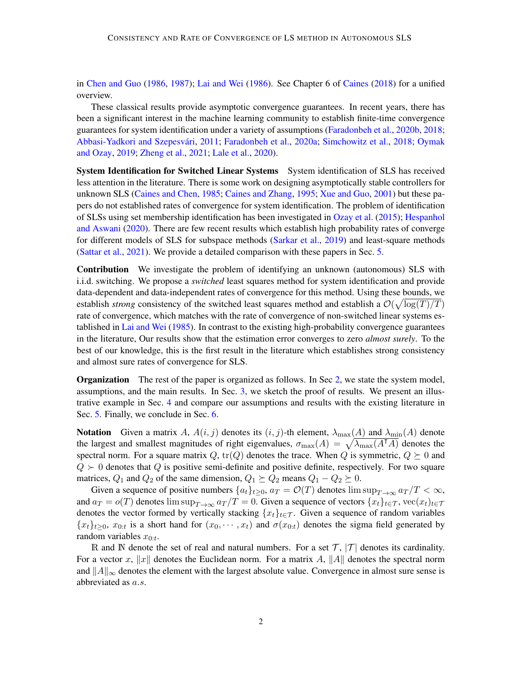in [Chen and Guo](#page-10-8) [\(1986,](#page-10-8) [1987\)](#page-10-9); [Lai and Wei](#page-11-1) [\(1986\)](#page-11-1). See Chapter 6 of [Caines](#page-9-1) [\(2018\)](#page-9-1) for a unified overview.

These classical results provide asymptotic convergence guarantees. In recent years, there has been a significant interest in the machine learning community to establish finite-time convergence guarantees for system identification under a variety of assumptions [\(Faradonbeh et al.,](#page-10-10) [2020b,](#page-10-10) [2018;](#page-10-11) Abbasi-Yadkori and Szepesvári, [2011;](#page-9-2) [Faradonbeh et al.,](#page-10-12) [2020a;](#page-10-12) [Simchowitz et al.,](#page-11-2) [2018;](#page-11-2) [Oymak](#page-11-3) [and Ozay,](#page-11-3) [2019;](#page-11-3) [Zheng et al.,](#page-11-4) [2021;](#page-11-4) [Lale et al.,](#page-11-5) [2020\)](#page-11-5).

**System Identification for Switched Linear Systems** System identification of SLS has received less attention in the literature. There is some work on designing asymptotically stable controllers for unknown SLS [\(Caines and Chen,](#page-9-3) [1985;](#page-9-3) [Caines and Zhang,](#page-9-4) [1995;](#page-9-4) [Xue and Guo,](#page-11-6) [2001\)](#page-11-6) but these papers do not established rates of convergence for system identification. The problem of identification of SLSs using set membership identification has been investigated in [Ozay et al.](#page-11-7) [\(2015\)](#page-11-7); [Hespanhol](#page-10-13) [and Aswani](#page-10-13) [\(2020\)](#page-10-13). There are few recent results which establish high probability rates of converge for different models of SLS for subspace methods [\(Sarkar et al.,](#page-11-8) [2019\)](#page-11-8) and least-square methods [\(Sattar et al.,](#page-11-9) [2021\)](#page-11-9). We provide a detailed comparison with these papers in Sec. [5.](#page-7-0)

Contribution We investigate the problem of identifying an unknown (autonomous) SLS with i.i.d. switching. We propose a *switched* least squares method for system identification and provide data-dependent and data-independent rates of convergence for this method. Using these bounds, we establish *strong* consistency of the switched least squares method and establish a  $\mathcal{O}(\sqrt{\log(T)/T})$ rate of convergence, which matches with the rate of convergence of non-switched linear systems established in [Lai and Wei](#page-11-0) [\(1985\)](#page-11-0). In contrast to the existing high-probability convergence guarantees in the literature, Our results show that the estimation error converges to zero *almost surely*. To the best of our knowledge, this is the first result in the literature which establishes strong consistency and almost sure rates of convergence for SLS.

**Organization** The rest of the paper is organized as follows. In Sec [2,](#page-2-0) we state the system model, assumptions, and the main results. In Sec. [3,](#page-4-0) we sketch the proof of results. We present an illustrative example in Sec. [4](#page-7-1) and compare our assumptions and results with the existing literature in Sec. [5.](#page-7-0) Finally, we conclude in Sec. [6.](#page-9-5)

**Notation** Given a matrix A,  $A(i, j)$  denotes its  $(i, j)$ -th element,  $\lambda_{\text{max}}(A)$  and  $\lambda_{\text{min}}(A)$  denote the largest and smallest magnitudes of right eigenvalues,  $\sigma_{\text{max}}(A) = \sqrt{\lambda_{\text{max}}(A^{\dagger}A)}$  denotes the spectral norm. For a square matrix Q, tr(Q) denotes the trace. When Q is symmetric,  $Q \succeq 0$  and  $Q \succ 0$  denotes that  $Q$  is positive semi-definite and positive definite, respectively. For two square matrices,  $Q_1$  and  $Q_2$  of the same dimension,  $Q_1 \succeq Q_2$  means  $Q_1 - Q_2 \succeq 0$ .

Given a sequence of positive numbers  $\{a_t\}_{t\geq0}$ ,  $a_T = \mathcal{O}(T)$  denotes  $\limsup_{T\to\infty} a_T/T < \infty$ , and  $a_T = o(T)$  denotes  $\limsup_{T\to\infty} a_T/T = 0$ . Given a sequence of vectors  $\{x_t\}_{t\in\mathcal{T}}$ , vec $(x_t)_{t\in\mathcal{T}}$ denotes the vector formed by vertically stacking  $\{x_t\}_{t\in\mathcal{T}}$ . Given a sequence of random variables  ${x_t}_{t\geq0}$ ,  $x_{0:t}$  is a short hand for  $(x_0, \dots, x_t)$  and  $\sigma(x_{0:t})$  denotes the sigma field generated by random variables  $x_{0:t}$ .

R and N denote the set of real and natural numbers. For a set  $\mathcal{T}$ ,  $|\mathcal{T}|$  denotes its cardinality. For a vector x, ||x|| denotes the Euclidean norm. For a matrix A, ||A|| denotes the spectral norm and  $||A||_{\infty}$  denotes the element with the largest absolute value. Convergence in almost sure sense is abbreviated as a.s.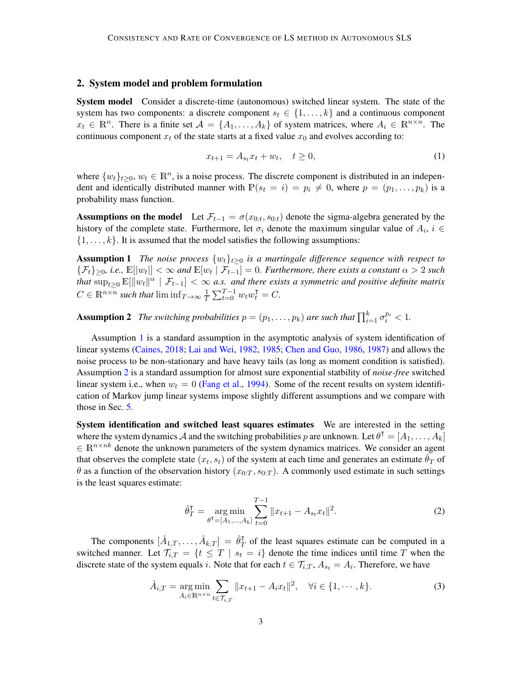## <span id="page-2-0"></span>2. System model and problem formulation

System model Consider a discrete-time (autonomous) switched linear system. The state of the system has two components: a discrete component  $s_t \in \{1, \ldots, k\}$  and a continuous component  $x_t \in \mathbb{R}^n$ . There is a finite set  $\mathcal{A} = \{A_1, \ldots, A_k\}$  of system matrices, where  $A_i \in \mathbb{R}^{n \times n}$ . The continuous component  $x_t$  of the state starts at a fixed value  $x_0$  and evolves according to:

<span id="page-2-3"></span><span id="page-2-1"></span>
$$
x_{t+1} = A_{s_t} x_t + w_t, \quad t \ge 0,
$$
\n(1)

where  $\{w_t\}_{t\geq0}$ ,  $w_t \in \mathbb{R}^n$ , is a noise process. The discrete component is distributed in an independent and identically distributed manner with  $\mathbb{P}(s_t = i) = p_i \neq 0$ , where  $p = (p_1, \ldots, p_k)$  is a probability mass function.

Assumptions on the model Let  $\mathcal{F}_{t-1} = \sigma(x_{0:t}, s_{0:t})$  denote the sigma-algebra generated by the history of the complete state. Furthermore, let  $\sigma_i$  denote the maximum singular value of  $A_i$ ,  $i \in$  $\{1, \ldots, k\}$ . It is assumed that the model satisfies the following assumptions:

**Assumption 1** *The noise process*  $\{w_t\}_{t>0}$  *is a martingale difference sequence with respect to*  $\{\mathcal{F}_t\}_{\geq0}$ , i.e.,  $\mathbb{E}[|w_t|] < \infty$  and  $\mathbb{E}[w_t | \mathcal{F}_{t-1}] = 0$ . Furthermore, there exists a constant  $\alpha > 2$  such that  $\sup_{t\geq 0}\mathbb{E}[\|w_t\|^{\alpha}\mid \mathcal{F}_{t-1}]<\infty$  a.s. and there exists a symmetric and positive definite matrix  $C \in \mathbb{R}^{n \times n}$  such that  $\liminf_{T \to \infty} \frac{1}{T}$  $\frac{1}{T} \sum_{t=0}^{T-1} w_t w_t^{\mathsf{T}} = C.$ 

<span id="page-2-2"></span>**Assumption 2** The switching probabilities  $p = (p_1, \ldots, p_k)$  are such that  $\prod_{i=1}^k \sigma_i^{p_i} < 1$ .

Assumption [1](#page-2-1) is a standard assumption in the asymptotic analysis of system identification of linear systems [\(Caines,](#page-9-1) [2018;](#page-9-1) [Lai and Wei,](#page-10-7) [1982,](#page-10-7) [1985;](#page-11-0) [Chen and Guo,](#page-10-8) [1986,](#page-10-8) [1987\)](#page-10-9) and allows the noise process to be non-stationary and have heavy tails (as long as moment condition is satisfied). Assumption [2](#page-2-2) is a standard assumption for almost sure exponential statbility of *noise-free* switched linear system i.e., when  $w_t = 0$  [\(Fang et al.,](#page-10-2) [1994\)](#page-10-2). Some of the recent results on system identification of Markov jump linear systems impose slightly different assumptions and we compare with those in Sec. [5.](#page-7-0)

System identification and switched least squares estimates We are interested in the setting where the system dynamics A and the switching probabilities p are unknown. Let  $\theta^T = [A_1, \dots, A_k]$  $\in \mathbb{R}^{n \times nk}$  denote the unknown parameters of the system dynamics matrices. We consider an agent that observes the complete state  $(x_t, s_t)$  of the system at each time and generates an estimate  $\hat{\theta}_T$  of  $\theta$  as a function of the observation history  $(x_{0:T}, s_{0:T})$ . A commonly used estimate in such settings is the least squares estimate:

$$
\hat{\theta}_T^{\mathsf{T}} = \underset{\theta^{\mathsf{T}} = [A_1, \dots, A_k]}{\arg \min} \sum_{t=0}^{T-1} ||x_{t+1} - A_{s_t} x_t||^2.
$$
 (2)

The components  $[\hat{A}_{1,T}, \ldots, \hat{A}_{k,T}] = \hat{\theta}_T^{\mathsf{T}}$  $T<sub>T</sub>$  of the least squares estimate can be computed in a switched manner. Let  $\mathcal{T}_{i,T} = \{t \leq T \mid s_t = i\}$  denote the time indices until time T when the discrete state of the system equals i. Note that for each  $t \in \mathcal{T}_{i,T}$ ,  $A_{s_t} = A_i$ . Therefore, we have

$$
\hat{A}_{i,T} = \underset{A_i \in \mathbb{R}^{n \times n}}{\arg \min} \sum_{t \in \mathcal{T}_{i,T}} ||x_{t+1} - A_i x_t||^2, \quad \forall i \in \{1, \cdots, k\}.
$$
 (3)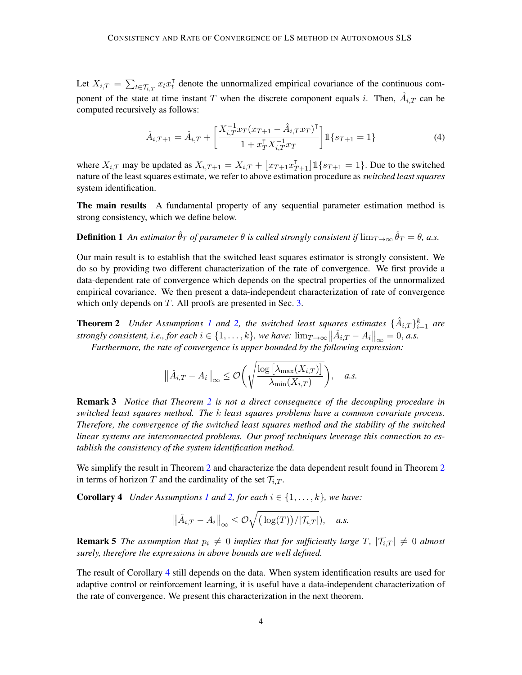Let  $X_{i,T} = \sum_{t \in \mathcal{T}_{i,T}} x_t x_t^{\mathsf{T}}$  denote the unnormalized empirical covariance of the continuous component of the state at time instant T when the discrete component equals i. Then,  $\hat{A}_{i,T}$  can be computed recursively as follows:

$$
\hat{A}_{i,T+1} = \hat{A}_{i,T} + \left[ \frac{X_{i,T}^{-1} x_T (x_{T+1} - \hat{A}_{i,T} x_T)^{\mathsf{T}}}{1 + x_T^{\mathsf{T}} X_{i,T}^{-1} x_T} \right] \mathbb{1} \{ s_{T+1} = 1 \}
$$
\n(4)

where  $X_{i,T}$  may be updated as  $X_{i,T+1} = X_{i,T} + \left[x_{T+1}x_{T+1}^{\text{T}}\right]1\{s_{T+1} = 1\}$ . Due to the switched nature of the least squares estimate, we refer to above estimation procedure as *switched least squares* system identification.

The main results A fundamental property of any sequential parameter estimation method is strong consistency, which we define below.

**Definition 1** An estimator  $\hat{\theta}_T$  of parameter  $\theta$  is called strongly consistent if  $\lim_{T\to\infty}\hat{\theta}_T=\theta$ , a.s.

Our main result is to establish that the switched least squares estimator is strongly consistent. We do so by providing two different characterization of the rate of convergence. We first provide a data-dependent rate of convergence which depends on the spectral properties of the unnormalized empirical covariance. We then present a data-independent characterization of rate of convergence which only depends on T. All proofs are presented in Sec. [3.](#page-4-0)

<span id="page-3-0"></span>**Theorem 2** *Under Assumptions [1](#page-2-1) and [2,](#page-2-2) the switched least squares estimates*  $\{\hat{A}_{i,T}\}_{i=1}^k$  are *strongly consistent, i.e., for each*  $i \in \{1, ..., k\}$ *, we have:*  $\lim_{T \to \infty} ||A_{i,T} - A_i||_{\infty} = 0$ *, a.s.* 

*Furthermore, the rate of convergence is upper bounded by the following expression:*

$$
\|\hat{A}_{i,T} - A_i\|_{\infty} \leq \mathcal{O}\bigg(\sqrt{\frac{\log\big[\lambda_{\max}(X_{i,T})\big]}{\lambda_{\min}(X_{i,T})}}\bigg), \quad a.s.
$$

<span id="page-3-3"></span>Remark 3 *Notice that Theorem [2](#page-3-0) is not a direct consequence of the decoupling procedure in switched least squares method. The* k *least squares problems have a common covariate process. Therefore, the convergence of the switched least squares method and the stability of the switched linear systems are interconnected problems. Our proof techniques leverage this connection to establish the consistency of the system identification method.*

We simplify the result in Theorem [2](#page-3-0) and characterize the data dependent result found in Theorem 2 in terms of horizon T and the cardinality of the set  $\mathcal{T}_{i,T}$ .

**Corollary 4** *Under Assumptions [1](#page-2-1) and* 2*, for each*  $i \in \{1, \ldots, k\}$ *, we have:* 

<span id="page-3-1"></span>
$$
\|\hat{A}_{i,T} - A_i\|_{\infty} \leq \mathcal{O}\sqrt{(\log(T))/|\mathcal{T}_{i,T}|}, \quad a.s.
$$

**Remark 5** *The assumption that*  $p_i \neq 0$  *implies that for sufficiently large* T,  $|\mathcal{T}_{i,T}| \neq 0$  *almost surely, therefore the expressions in above bounds are well defined.*

<span id="page-3-2"></span>The result of Corollary [4](#page-3-1) still depends on the data. When system identification results are used for adaptive control or reinforcement learning, it is useful have a data-independent characterization of the rate of convergence. We present this characterization in the next theorem.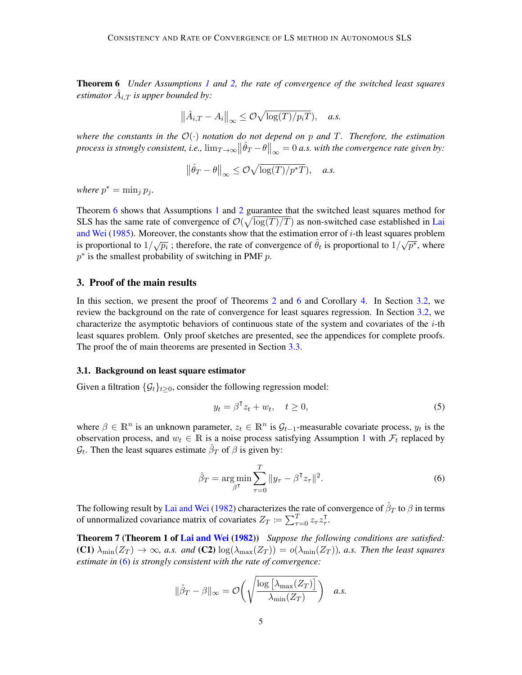Theorem 6 *Under Assumptions [1](#page-2-1) and [2,](#page-2-2) the rate of convergence of the switched least squares estimator*  $\hat{A}_{i,T}$  *is upper bounded by:* 

$$
\left\|\hat{A}_{i,T} - A_i\right\|_{\infty} \leq \mathcal{O}\sqrt{\log(T)/p_iT}), \quad a.s.
$$

*where the constants in the*  $\mathcal{O}(\cdot)$  *notation do not depend on* p *and* T. Therefore, the estimation *process is strongly consistent, i.e.,*  $\lim_{T\to\infty} ||\hat{\theta}_T - \theta||_{\infty} = 0$  a.s. with the convergence rate given by:

$$
\left\|\hat{\theta}_T - \theta\right\|_{\infty} \le \mathcal{O}\sqrt{\log(T)/p^*T}, \quad a.s.
$$

*where*  $p^* = \min_j p_j$ .

Theorem [6](#page-3-2) shows that Assumptions [1](#page-2-1) and [2](#page-2-2) guarantee that the switched least squares method for SLS has the same rate of convergence of  $\mathcal{O}(\sqrt{\log(T)/T})$  as non-switched case established in [Lai](#page-11-0) [and Wei](#page-11-0) [\(1985\)](#page-11-0). Moreover, the constants show that the estimation error of *i*-th least squares problem is proportional to  $1/\sqrt{p_i}$ ; therefore, the rate of convergence of  $\hat{\theta}_t$  is proportional to  $1/\sqrt{p^*}$ , where  $p^*$  is the smallest probability of switching in PMF  $p$ .

## <span id="page-4-0"></span>3. Proof of the main results

In this section, we present the proof of Theorems [2](#page-3-0) and [6](#page-3-2) and Corollary [4.](#page-3-1) In Section [3.2,](#page-5-0) we review the background on the rate of convergence for least squares regression. In Section [3.2,](#page-5-0) we characterize the asymptotic behaviors of continuous state of the system and covariates of the  $i$ -th least squares problem. Only proof sketches are presented, see the appendices for complete proofs. The proof the of main theorems are presented in Section [3.3.](#page-6-0)

#### 3.1. Background on least square estimator

Given a filtration  $\{\mathcal{G}_t\}_{t>0}$ , consider the following regression model:

$$
y_t = \beta^{\mathsf{T}} z_t + w_t, \quad t \ge 0,
$$
\n<sup>(5)</sup>

where  $\beta \in \mathbb{R}^n$  is an unknown parameter,  $z_t \in \mathbb{R}^n$  is  $\mathcal{G}_{t-1}$ -measurable covariate process,  $y_t$  is the observation process, and  $w_t \in \mathbb{R}$  is a noise process satisfying Assumption [1](#page-2-1) with  $\mathcal{F}_t$  replaced by  $\mathcal{G}_t$ . Then the least squares estimate  $\hat{\beta}_T$  of  $\beta$  is given by:

<span id="page-4-2"></span><span id="page-4-1"></span>
$$
\hat{\beta}_T = \underset{\beta^{\mathsf{T}}}{\arg \min} \sum_{\tau=0}^T \|y_\tau - \beta^{\mathsf{T}} z_\tau\|^2. \tag{6}
$$

The following result by [Lai and Wei](#page-10-7) [\(1982\)](#page-10-7) characterizes the rate of convergence of  $\hat{\beta}_T$  to  $\beta$  in terms of unnormalized covariance matrix of covariates  $Z_T \coloneqq \sum_{\tau=0}^T z_\tau z_\tau^\intercal$ τ .

Theorem 7 (Theorem 1 of [Lai and Wei](#page-10-7) [\(1982\)](#page-10-7)) *Suppose the following conditions are satisfied:*  $(C1)$   $\lambda_{\min}(Z_T) \to \infty$ , a.s. and  $(C2)$   $\log(\lambda_{\max}(Z_T)) = o(\lambda_{\min}(Z_T))$ , a.s. Then the least squares *estimate in* [\(6\)](#page-4-1) *is strongly consistent with the rate of convergence:*

$$
\|\hat{\beta}_T - \beta\|_{\infty} = \mathcal{O}\bigg(\sqrt{\frac{\log\big[\lambda_{\max}(Z_T)\big]}{\lambda_{\min}(Z_T)}}\bigg) \quad a.s.
$$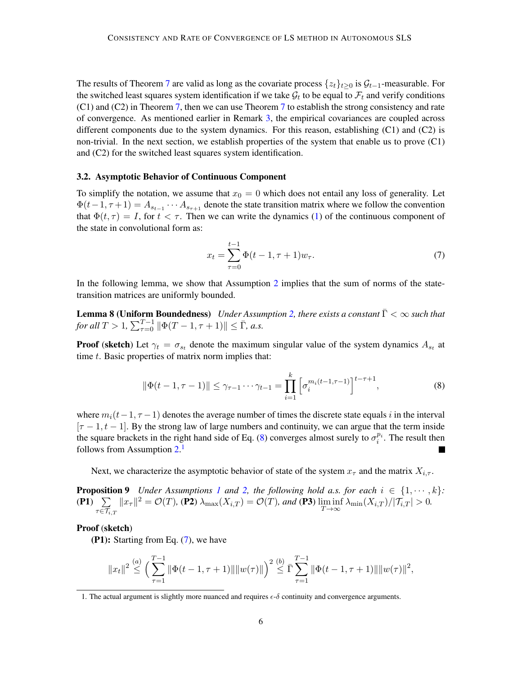The results of Theorem [7](#page-4-2) are valid as long as the covariate process  $\{z_t\}_{t>0}$  is  $\mathcal{G}_{t-1}$ -measurable. For the switched least squares system identification if we take  $\mathcal{G}_t$  to be equal to  $\mathcal{F}_t$  and verify conditions (C1) and (C2) in Theorem [7,](#page-4-2) then we can use Theorem [7](#page-4-2) to establish the strong consistency and rate of convergence. As mentioned earlier in Remark [3,](#page-3-3) the empirical covariances are coupled across different components due to the system dynamics. For this reason, establishing (C1) and (C2) is non-trivial. In the next section, we establish properties of the system that enable us to prove (C1) and (C2) for the switched least squares system identification.

#### <span id="page-5-0"></span>3.2. Asymptotic Behavior of Continuous Component

To simplify the notation, we assume that  $x_0 = 0$  which does not entail any loss of generality. Let  $\Phi(t-1, \tau+1) = A_{s_{t-1}} \cdots A_{s_{\tau+1}}$  denote the state transition matrix where we follow the convention that  $\Phi(t, \tau) = I$ , for  $t < \tau$ . Then we can write the dynamics [\(1\)](#page-2-3) of the continuous component of the state in convolutional form as:

<span id="page-5-4"></span><span id="page-5-3"></span>
$$
x_t = \sum_{\tau=0}^{t-1} \Phi(t-1, \tau+1) w_{\tau}.
$$
 (7)

In the following lemma, we show that Assumption [2](#page-2-2) implies that the sum of norms of the statetransition matrices are uniformly bounded.

**Lemma 8 (Uniform Boundedness)** *Under Assumption [2,](#page-2-2) there exists a constant*  $\bar{\Gamma} < \infty$  *such that for all*  $T > 1$ ,  $\sum_{\tau=0}^{T-1} ||\Phi(T-1, \tau+1)|| \leq \bar{\Gamma}$ , *a.s.* 

**Proof** (sketch) Let  $\gamma_t = \sigma_{s_t}$  denote the maximum singular value of the system dynamics  $A_{s_t}$  at time  $t$ . Basic properties of matrix norm implies that:

<span id="page-5-5"></span><span id="page-5-1"></span>
$$
\|\Phi(t-1,\tau-1)\| \leq \gamma_{\tau-1} \cdots \gamma_{t-1} = \prod_{i=1}^{k} \left[\sigma_i^{m_i(t-1,\tau-1)}\right]^{t-\tau+1},\tag{8}
$$

where  $m_i(t-1, \tau-1)$  denotes the average number of times the discrete state equals i in the interval  $[\tau - 1, t - 1]$ . By the strong law of large numbers and continuity, we can argue that the term inside the square brackets in the right hand side of Eq. [\(8\)](#page-5-1) converges almost surely to  $\sigma_i^{p_i}$ . The result then follows from Assumption [2.](#page-2-2)<sup>[1](#page-5-2)</sup>

Next, we characterize the asymptotic behavior of state of the system  $x_{\tau}$  and the matrix  $X_{i,\tau}$ .

**Proposition 9** *Under Assumptions [1](#page-2-1) and [2,](#page-2-2) the following hold a.s. for each*  $i \in \{1, \dots, k\}$ :  $(P1) \quad \sum$  $_{\tau \in \mathcal{T}_{i,T}}$  $||x_{\tau}||^2 = \mathcal{O}(T)$ , (P2)  $\lambda_{\max}(X_{i,T}) = \mathcal{O}(T)$ , and (P3)  $\liminf_{T \to \infty} \lambda_{\min}(X_{i,T})/|\mathcal{T}_{i,T}| > 0$ .

#### Proof (sketch)

(P1): Starting from Eq. [\(7\)](#page-5-3), we have

$$
||x_t||^2 \stackrel{(a)}{\leq} \left(\sum_{\tau=1}^{T-1} \|\Phi(t-1,\tau+1)\|\|w(\tau)\|\right)^2 \stackrel{(b)}{\leq} \bar{\Gamma} \sum_{\tau=1}^{T-1} \|\Phi(t-1,\tau+1)\|\|w(\tau)\|^2,
$$

<span id="page-5-2"></span><sup>1.</sup> The actual argument is slightly more nuanced and requires  $\epsilon$ - $\delta$  continuity and convergence arguments.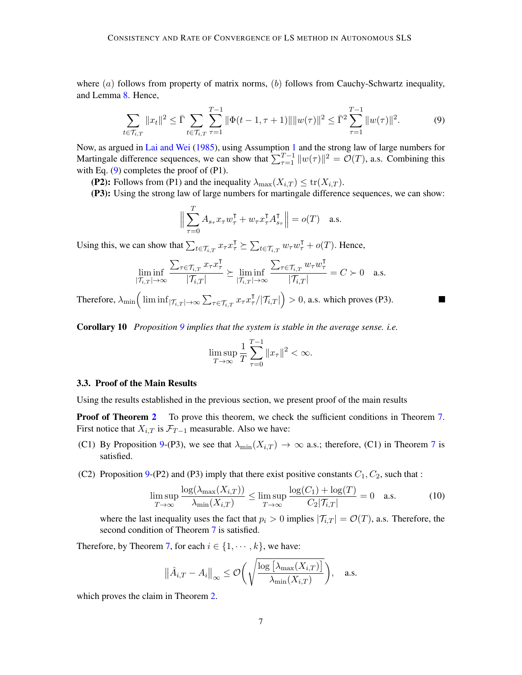where  $(a)$  follows from property of matrix norms,  $(b)$  follows from Cauchy-Schwartz inequality, and Lemma [8.](#page-5-4) Hence,

<span id="page-6-1"></span>
$$
\sum_{t \in \mathcal{T}_{i,T}} \|x_t\|^2 \le \bar{\Gamma} \sum_{t \in \mathcal{T}_{i,T}} \sum_{\tau=1}^{T-1} \|\Phi(t-1,\tau+1)\| \|w(\tau)\|^2 \le \bar{\Gamma}^2 \sum_{\tau=1}^{T-1} \|w(\tau)\|^2. \tag{9}
$$

Now, as argued in [Lai and Wei](#page-11-0) [\(1985\)](#page-11-0), using Assumption [1](#page-2-1) and the strong law of large numbers for Martingale difference sequences, we can show that  $\sum_{\tau=1}^{T-1} ||w(\tau)||^2 = \mathcal{O}(T)$ , a.s. Combining this with Eq. [\(9\)](#page-6-1) completes the proof of (P1).

(P2): Follows from (P1) and the inequality  $\lambda_{\max}(X_{i,T}) \leq \text{tr}(X_{i,T})$ .

(P3): Using the strong law of large numbers for martingale difference sequences, we can show:

$$
\Big\|\sum_{\tau=0}^T A_{s_\tau} x_\tau w_\tau^{\intercal} + w_\tau x_\tau^{\intercal} A_{s_\tau}^{\intercal} \Big\| = o(T) \quad \text{a.s.}
$$

Using this, we can show that  $\sum_{t \in \mathcal{T}_{i,T}} x_{\tau} x_{\tau}^{\mathsf{T}} \succeq \sum_{t \in \mathcal{T}_{i,T}} w_{\tau} w_{\tau}^{\mathsf{T}} + o(T)$ . Hence,

$$
\liminf_{|\mathcal{T}_{i,T}| \to \infty} \frac{\sum_{\tau \in \mathcal{T}_{i,T}} x_{\tau} x_{\tau}^{\mathsf{T}}}{|\mathcal{T}_{i,T}|} \succeq \liminf_{|\mathcal{T}_{i,T}| \to \infty} \frac{\sum_{\tau \in \mathcal{T}_{i,T}} w_{\tau} w_{\tau}^{\mathsf{T}}}{|\mathcal{T}_{i,T}|} = C \succ 0 \quad \text{a.s.}
$$

Therefore,  $\lambda_{\min} \Big( \liminf_{|\mathcal{T}_{i,T}| \to \infty} \sum_{\tau \in \mathcal{T}_{i,T}} x_{\tau} x_{\tau}^{\intercal} / |\mathcal{T}_{i,T}| \Big) > 0$ , a.s. which proves (P3).

<span id="page-6-3"></span>Corollary 10 *Proposition [9](#page-5-5) implies that the system is stable in the average sense. i.e.*

$$
\limsup_{T \to \infty} \frac{1}{T} \sum_{\tau=0}^{T-1} ||x_{\tau}||^2 < \infty.
$$

### <span id="page-6-0"></span>3.3. Proof of the Main Results

Using the results established in the previous section, we present proof of the main results

**Proof of Theorem [2](#page-3-0)** To prove this theorem, we check the sufficient conditions in Theorem [7.](#page-4-2) First notice that  $X_{i,T}$  is  $\mathcal{F}_{T-1}$  measurable. Also we have:

- (C1) By Proposition [9-](#page-5-5)(P3), we see that  $\lambda_{\min}(X_{i,T}) \to \infty$  a.s.; therefore, (C1) in Theorem [7](#page-4-2) is satisfied.
- (C2) Proposition [9-](#page-5-5)(P2) and (P3) imply that there exist positive constants  $C_1, C_2$ , such that :

<span id="page-6-2"></span>
$$
\limsup_{T \to \infty} \frac{\log(\lambda_{\max}(X_{i,T}))}{\lambda_{\min}(X_{i,T})} \le \limsup_{T \to \infty} \frac{\log(C_1) + \log(T)}{C_2|\mathcal{T}_{i,T}|} = 0 \quad \text{a.s.}
$$
 (10)

where the last inequality uses the fact that  $p_i > 0$  implies  $|\mathcal{T}_{i,T}| = \mathcal{O}(T)$ , a.s. Therefore, the second condition of Theorem [7](#page-4-2) is satisfied.

Therefore, by Theorem [7,](#page-4-2) for each  $i \in \{1, \dots, k\}$ , we have:

$$
\|\hat{A}_{i,T} - A_i\|_{\infty} \leq \mathcal{O}\bigg(\sqrt{\frac{\log\big[\lambda_{\max}(X_{i,T})\big]}{\lambda_{\min}(X_{i,T})}}\bigg), \quad \text{a.s.}
$$

which proves the claim in Theorem [2.](#page-3-0)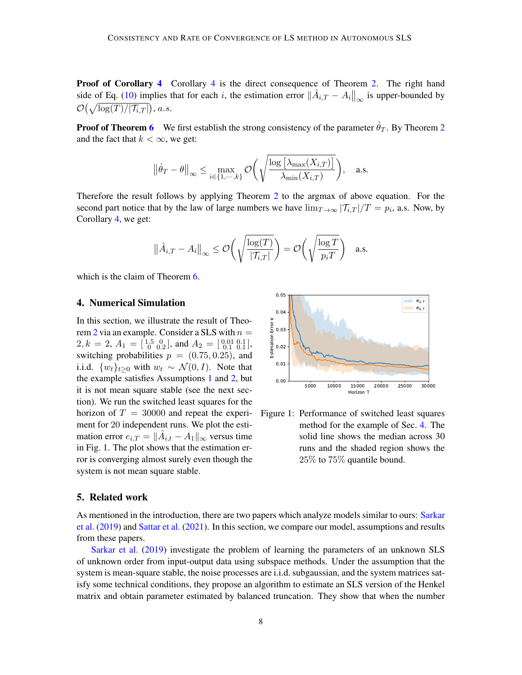**Proof of Corollary [4](#page-3-1)** Corollary 4 is the direct consequence of Theorem [2.](#page-3-0) The right hand side of Eq. [\(10\)](#page-6-2) implies that for each i, the estimation error  $\|\hat{A}_{i,T} - A_i\|_{\infty}$  is upper-bounded by  $\mathcal{O}(\sqrt{\log(T)/|\mathcal{T}_{i,T}|}),$  a.s.

**Proof of Theorem [6](#page-3-2)** We first establish the strong consistency of the parameter  $\hat{\theta}_T$ . By Theorem [2](#page-3-0) and the fact that  $k < \infty$ , we get:

$$
\|\hat{\theta}_T - \theta\|_{\infty} \le \max_{i \in \{1, \cdots, k\}} \mathcal{O}\bigg(\sqrt{\frac{\log\big[\lambda_{\max}(X_{i,T})\big]}{\lambda_{\min}(X_{i,T})}}\bigg), \quad \text{a.s.}
$$

Therefore the result follows by applying Theorem [2](#page-3-0) to the argmax of above equation. For the second part notice that by the law of large numbers we have  $\lim_{T\to\infty} |T_{i,T}|/T = p_i$ , a.s. Now, by Corollary [4,](#page-3-1) we get:

$$
\|\hat{A}_{i,T} - A_i\|_{\infty} \leq \mathcal{O}\left(\sqrt{\frac{\log(T)}{|\mathcal{T}_{i,T}|}}\right) = \mathcal{O}\left(\sqrt{\frac{\log T}{p_i T}}\right) \quad \text{a.s.}
$$

which is the claim of Theorem [6.](#page-3-2)

#### <span id="page-7-1"></span>4. Numerical Simulation

In this section, we illustrate the result of Theo-rem [2](#page-3-0) via an example. Consider a SLS with  $n =$  $2, k = 2, A_1 = \begin{bmatrix} 1.5 & 0 \\ 0 & 0.2 \end{bmatrix}$ , and  $A_2 = \begin{bmatrix} 0.01 & 0.1 \\ 0.1 & 0.1 \end{bmatrix}$ , switching probabilities  $p = (0.75, 0.25)$ , and i.i.d.  $\{w_t\}_{t>0}$  with  $w_t \sim \mathcal{N}(0, I)$ . Note that the example satisfies Assumptions [1](#page-2-1) and [2,](#page-2-2) but it is not mean square stable (see the next section). We run the switched least squares for the horizon of  $T = 30000$  and repeat the experiment for 20 independent runs. We plot the estimation error  $e_{i,T} = ||\hat{A}_{i,t} - A_1||_{\infty}$  versus time in Fig. 1. The plot shows that the estimation error is converging almost surely even though the system is not mean square stable.



Figure 1: Performance of switched least squares method for the example of Sec. [4.](#page-7-1) The solid line shows the median across 30 runs and the shaded region shows the 25% to 75% quantile bound.

### <span id="page-7-0"></span>5. Related work

As mentioned in the introduction, there are two papers which analyze models similar to ours: [Sarkar](#page-11-8) [et al.](#page-11-8) [\(2019\)](#page-11-8) and [Sattar et al.](#page-11-9) [\(2021\)](#page-11-9). In this section, we compare our model, assumptions and results from these papers.

[Sarkar et al.](#page-11-8) [\(2019\)](#page-11-8) investigate the problem of learning the parameters of an unknown SLS of unknown order from input-output data using subspace methods. Under the assumption that the system is mean-square stable, the noise processes are i.i.d. subgaussian, and the system matrices satisfy some technical conditions, they propose an algorithm to estimate an SLS version of the Henkel matrix and obtain parameter estimated by balanced truncation. They show that when the number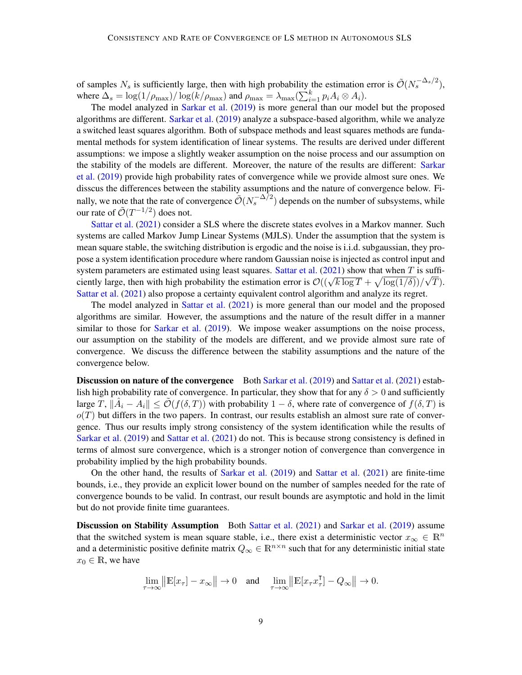of samples  $N_s$  is sufficiently large, then with high probability the estimation error is  $\tilde{\mathcal{O}}(N_s^{-\Delta_s/2})$ , where  $\Delta_s = \log(1/\rho_{\text{max}})/\log(k/\rho_{\text{max}})$  and  $\rho_{\text{max}} = \lambda_{\text{max}}(\sum_{i=1}^k p_i A_i \otimes A_i)$ .

The model analyzed in [Sarkar et al.](#page-11-8) [\(2019\)](#page-11-8) is more general than our model but the proposed algorithms are different. [Sarkar et al.](#page-11-8) [\(2019\)](#page-11-8) analyze a subspace-based algorithm, while we analyze a switched least squares algorithm. Both of subspace methods and least squares methods are fundamental methods for system identification of linear systems. The results are derived under different assumptions: we impose a slightly weaker assumption on the noise process and our assumption on the stability of the models are different. Moreover, the nature of the results are different: [Sarkar](#page-11-8) [et al.](#page-11-8) [\(2019\)](#page-11-8) provide high probability rates of convergence while we provide almost sure ones. We disscus the differences between the stability assumptions and the nature of convergence below. Finally, we note that the rate of convergence  $\tilde{\mathcal{O}}(N_s^{-\Delta/2})$  depends on the number of subsystems, while our rate of  $\tilde{\mathcal{O}}(T^{-1/2})$  does not.

[Sattar et al.](#page-11-9) [\(2021\)](#page-11-9) consider a SLS where the discrete states evolves in a Markov manner. Such systems are called Markov Jump Linear Systems (MJLS). Under the assumption that the system is mean square stable, the switching distribution is ergodic and the noise is i.i.d. subgaussian, they propose a system identification procedure where random Gaussian noise is injected as control input and system parameters are estimated using least squares. [Sattar et al.](#page-11-9) [\(2021\)](#page-11-9) show that when T is suffisystem parameters are estimated using least squares. Sattlet et al. (2021) show that when T is sum-<br>ciently large, then with high probability the estimation error is  $\mathcal{O}((\sqrt{k \log T} + \sqrt{\log(1/\delta)})/\sqrt{T})$ . [Sattar et al.](#page-11-9) [\(2021\)](#page-11-9) also propose a certainty equivalent control algorithm and analyze its regret.

The model analyzed in [Sattar et al.](#page-11-9) [\(2021\)](#page-11-9) is more general than our model and the proposed algorithms are similar. However, the assumptions and the nature of the result differ in a manner similar to those for [Sarkar et al.](#page-11-8) [\(2019\)](#page-11-8). We impose weaker assumptions on the noise process, our assumption on the stability of the models are different, and we provide almost sure rate of convergence. We discuss the difference between the stability assumptions and the nature of the convergence below.

Discussion on nature of the convergence Both [Sarkar et al.](#page-11-8) [\(2019\)](#page-11-8) and [Sattar et al.](#page-11-9) [\(2021\)](#page-11-9) establish high probability rate of convergence. In particular, they show that for any  $\delta > 0$  and sufficiently large  $T, ||\hat{A}_i - A_i|| \le \tilde{\mathcal{O}}(f(\delta, T))$  with probability  $1 - \delta$ , where rate of convergence of  $f(\delta, T)$  is  $o(T)$  but differs in the two papers. In contrast, our results establish an almost sure rate of convergence. Thus our results imply strong consistency of the system identification while the results of [Sarkar et al.](#page-11-8) [\(2019\)](#page-11-8) and [Sattar et al.](#page-11-9) [\(2021\)](#page-11-9) do not. This is because strong consistency is defined in terms of almost sure convergence, which is a stronger notion of convergence than convergence in probability implied by the high probability bounds.

On the other hand, the results of [Sarkar et al.](#page-11-8) [\(2019\)](#page-11-8) and [Sattar et al.](#page-11-9) [\(2021\)](#page-11-9) are finite-time bounds, i.e., they provide an explicit lower bound on the number of samples needed for the rate of convergence bounds to be valid. In contrast, our result bounds are asymptotic and hold in the limit but do not provide finite time guarantees.

Discussion on Stability Assumption Both [Sattar et al.](#page-11-9) [\(2021\)](#page-11-9) and [Sarkar et al.](#page-11-8) [\(2019\)](#page-11-8) assume that the switched system is mean square stable, i.e., there exist a deterministic vector  $x_{\infty} \in \mathbb{R}^n$ and a deterministic positive definite matrix  $Q_{\infty} \in \mathbb{R}^{n \times n}$  such that for any deterministic initial state  $x_0 \in \mathbb{R}$ , we have

$$
\lim_{\tau \to \infty} \left\| \mathbb{E}[x_{\tau}] - x_{\infty} \right\| \to 0 \quad \text{and} \quad \lim_{\tau \to \infty} \left\| \mathbb{E}[x_{\tau} x_{\tau}^{\mathsf{T}}] - Q_{\infty} \right\| \to 0.
$$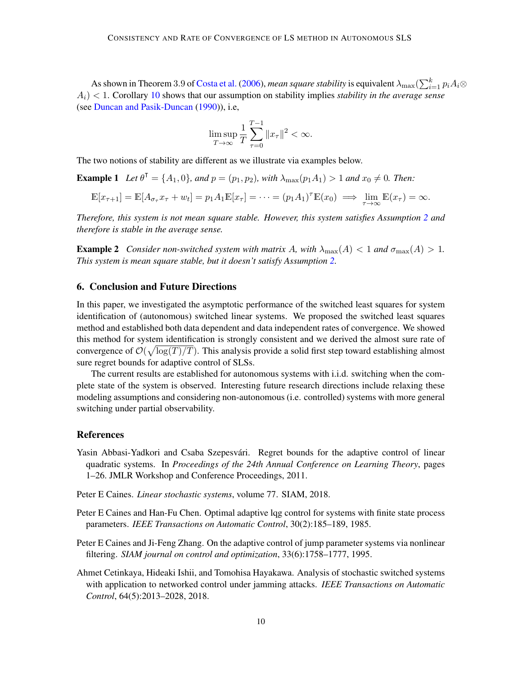As shown in Theorem 3.9 of [Costa et al.](#page-10-4) [\(2006\)](#page-10-4), *mean square stability* is equivalent  $\lambda_{\max}(\sum_{i=1}^k p_iA_i\otimes$ Ai) < 1. Corollary [10](#page-6-3) shows that our assumption on stability implies *stability in the average sense* (see [Duncan and Pasik-Duncan](#page-10-14) [\(1990\)](#page-10-14)), i.e,

$$
\limsup_{T\to\infty}\frac{1}{T}\sum_{\tau=0}^{T-1}\|x_\tau\|^2<\infty.
$$

The two notions of stability are different as we illustrate via examples below.

**Example 1** Let  $\theta^{\dagger} = \{A_1, 0\}$ , and  $p = (p_1, p_2)$ , with  $\lambda_{\max}(p_1A_1) > 1$  and  $x_0 \neq 0$ . Then:

$$
\mathbb{E}[x_{\tau+1}] = \mathbb{E}[A_{\sigma_{\tau}}x_{\tau} + w_t] = p_1 A_1 \mathbb{E}[x_{\tau}] = \cdots = (p_1 A_1)^{\tau} \mathbb{E}(x_0) \implies \lim_{\tau \to \infty} \mathbb{E}(x_{\tau}) = \infty.
$$

*Therefore, this system is not mean square stable. However, this system satisfies Assumption [2](#page-2-2) and therefore is stable in the average sense.*

**Example 2** *Consider non-switched system with matrix A, with*  $\lambda_{\max}(A) < 1$  *and*  $\sigma_{\max}(A) > 1$ *. This system is mean square stable, but it doesn't satisfy Assumption [2.](#page-2-2)*

## <span id="page-9-5"></span>6. Conclusion and Future Directions

In this paper, we investigated the asymptotic performance of the switched least squares for system identification of (autonomous) switched linear systems. We proposed the switched least squares method and established both data dependent and data independent rates of convergence. We showed this method for system identification is strongly consistent and we derived the almost sure rate of convergence of  $\mathcal{O}(\sqrt{\log(T)/T})$ . This analysis provide a solid first step toward establishing almost sure regret bounds for adaptive control of SLSs.

The current results are established for autonomous systems with i.i.d. switching when the complete state of the system is observed. Interesting future research directions include relaxing these modeling assumptions and considering non-autonomous (i.e. controlled) systems with more general switching under partial observability.

#### References

- <span id="page-9-2"></span>Yasin Abbasi-Yadkori and Csaba Szepesvári. Regret bounds for the adaptive control of linear quadratic systems. In *Proceedings of the 24th Annual Conference on Learning Theory*, pages 1–26. JMLR Workshop and Conference Proceedings, 2011.
- <span id="page-9-1"></span>Peter E Caines. *Linear stochastic systems*, volume 77. SIAM, 2018.
- <span id="page-9-3"></span>Peter E Caines and Han-Fu Chen. Optimal adaptive lqg control for systems with finite state process parameters. *IEEE Transactions on Automatic Control*, 30(2):185–189, 1985.
- <span id="page-9-4"></span>Peter E Caines and Ji-Feng Zhang. On the adaptive control of jump parameter systems via nonlinear filtering. *SIAM journal on control and optimization*, 33(6):1758–1777, 1995.
- <span id="page-9-0"></span>Ahmet Cetinkaya, Hideaki Ishii, and Tomohisa Hayakawa. Analysis of stochastic switched systems with application to networked control under jamming attacks. *IEEE Transactions on Automatic Control*, 64(5):2013–2028, 2018.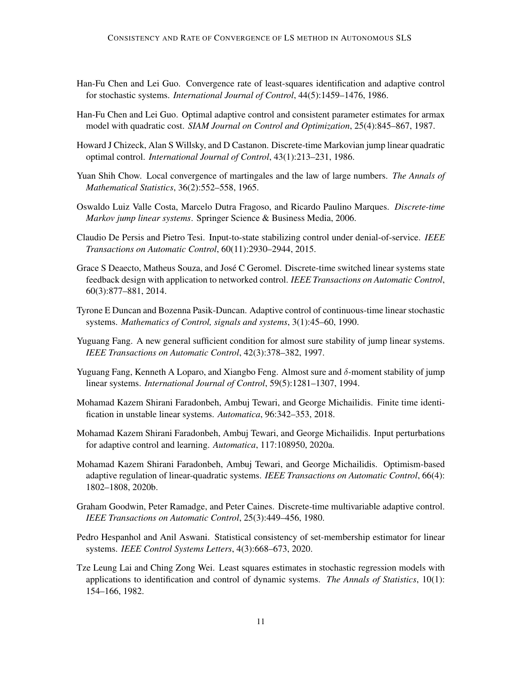- <span id="page-10-8"></span>Han-Fu Chen and Lei Guo. Convergence rate of least-squares identification and adaptive control for stochastic systems. *International Journal of Control*, 44(5):1459–1476, 1986.
- <span id="page-10-9"></span>Han-Fu Chen and Lei Guo. Optimal adaptive control and consistent parameter estimates for armax model with quadratic cost. *SIAM Journal on Control and Optimization*, 25(4):845–867, 1987.
- <span id="page-10-5"></span>Howard J Chizeck, Alan S Willsky, and D Castanon. Discrete-time Markovian jump linear quadratic optimal control. *International Journal of Control*, 43(1):213–231, 1986.
- Yuan Shih Chow. Local convergence of martingales and the law of large numbers. *The Annals of Mathematical Statistics*, 36(2):552–558, 1965.
- <span id="page-10-4"></span>Oswaldo Luiz Valle Costa, Marcelo Dutra Fragoso, and Ricardo Paulino Marques. *Discrete-time Markov jump linear systems*. Springer Science & Business Media, 2006.
- <span id="page-10-1"></span>Claudio De Persis and Pietro Tesi. Input-to-state stabilizing control under denial-of-service. *IEEE Transactions on Automatic Control*, 60(11):2930–2944, 2015.
- <span id="page-10-0"></span>Grace S Deaecto, Matheus Souza, and José C Geromel. Discrete-time switched linear systems state feedback design with application to networked control. *IEEE Transactions on Automatic Control*, 60(3):877–881, 2014.
- <span id="page-10-14"></span>Tyrone E Duncan and Bozenna Pasik-Duncan. Adaptive control of continuous-time linear stochastic systems. *Mathematics of Control, signals and systems*, 3(1):45–60, 1990.
- <span id="page-10-3"></span>Yuguang Fang. A new general sufficient condition for almost sure stability of jump linear systems. *IEEE Transactions on Automatic Control*, 42(3):378–382, 1997.
- <span id="page-10-2"></span>Yuguang Fang, Kenneth A Loparo, and Xiangbo Feng. Almost sure and  $\delta$ -moment stability of jump linear systems. *International Journal of Control*, 59(5):1281–1307, 1994.
- <span id="page-10-11"></span>Mohamad Kazem Shirani Faradonbeh, Ambuj Tewari, and George Michailidis. Finite time identification in unstable linear systems. *Automatica*, 96:342–353, 2018.
- <span id="page-10-12"></span>Mohamad Kazem Shirani Faradonbeh, Ambuj Tewari, and George Michailidis. Input perturbations for adaptive control and learning. *Automatica*, 117:108950, 2020a.
- <span id="page-10-10"></span>Mohamad Kazem Shirani Faradonbeh, Ambuj Tewari, and George Michailidis. Optimism-based adaptive regulation of linear-quadratic systems. *IEEE Transactions on Automatic Control*, 66(4): 1802–1808, 2020b.
- <span id="page-10-6"></span>Graham Goodwin, Peter Ramadge, and Peter Caines. Discrete-time multivariable adaptive control. *IEEE Transactions on Automatic Control*, 25(3):449–456, 1980.
- <span id="page-10-13"></span>Pedro Hespanhol and Anil Aswani. Statistical consistency of set-membership estimator for linear systems. *IEEE Control Systems Letters*, 4(3):668–673, 2020.
- <span id="page-10-7"></span>Tze Leung Lai and Ching Zong Wei. Least squares estimates in stochastic regression models with applications to identification and control of dynamic systems. *The Annals of Statistics*, 10(1): 154–166, 1982.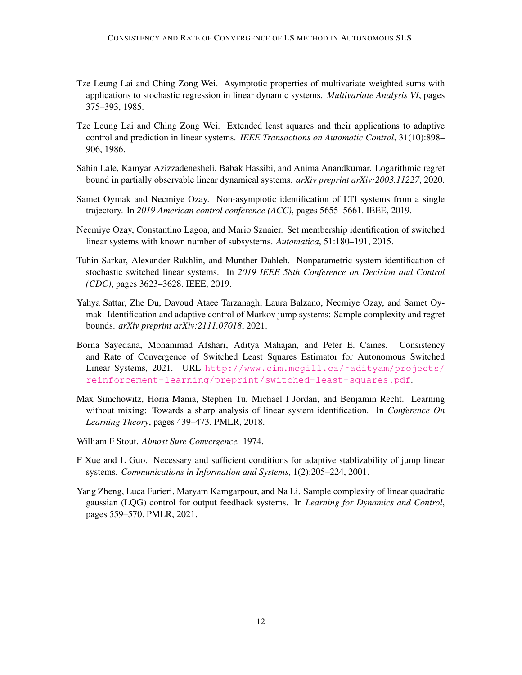- <span id="page-11-0"></span>Tze Leung Lai and Ching Zong Wei. Asymptotic properties of multivariate weighted sums with applications to stochastic regression in linear dynamic systems. *Multivariate Analysis VI*, pages 375–393, 1985.
- <span id="page-11-1"></span>Tze Leung Lai and Ching Zong Wei. Extended least squares and their applications to adaptive control and prediction in linear systems. *IEEE Transactions on Automatic Control*, 31(10):898– 906, 1986.
- <span id="page-11-5"></span>Sahin Lale, Kamyar Azizzadenesheli, Babak Hassibi, and Anima Anandkumar. Logarithmic regret bound in partially observable linear dynamical systems. *arXiv preprint arXiv:2003.11227*, 2020.
- <span id="page-11-3"></span>Samet Oymak and Necmiye Ozay. Non-asymptotic identification of LTI systems from a single trajectory. In *2019 American control conference (ACC)*, pages 5655–5661. IEEE, 2019.
- <span id="page-11-7"></span>Necmiye Ozay, Constantino Lagoa, and Mario Sznaier. Set membership identification of switched linear systems with known number of subsystems. *Automatica*, 51:180–191, 2015.
- <span id="page-11-8"></span>Tuhin Sarkar, Alexander Rakhlin, and Munther Dahleh. Nonparametric system identification of stochastic switched linear systems. In *2019 IEEE 58th Conference on Decision and Control (CDC)*, pages 3623–3628. IEEE, 2019.
- <span id="page-11-9"></span>Yahya Sattar, Zhe Du, Davoud Ataee Tarzanagh, Laura Balzano, Necmiye Ozay, and Samet Oymak. Identification and adaptive control of Markov jump systems: Sample complexity and regret bounds. *arXiv preprint arXiv:2111.07018*, 2021.
- Borna Sayedana, Mohammad Afshari, Aditya Mahajan, and Peter E. Caines. Consistency and Rate of Convergence of Switched Least Squares Estimator for Autonomous Switched Linear Systems, 2021. URL [http://www.cim.mcgill.ca/˜adityam/projects/](http://www.cim.mcgill.ca/~adityam/projects/reinforcement-learning/preprint/switched-least-squares.pdf) [reinforcement-learning/preprint/switched-least-squares.pdf](http://www.cim.mcgill.ca/~adityam/projects/reinforcement-learning/preprint/switched-least-squares.pdf).
- <span id="page-11-2"></span>Max Simchowitz, Horia Mania, Stephen Tu, Michael I Jordan, and Benjamin Recht. Learning without mixing: Towards a sharp analysis of linear system identification. In *Conference On Learning Theory*, pages 439–473. PMLR, 2018.
- <span id="page-11-10"></span>William F Stout. *Almost Sure Convergence.* 1974.
- <span id="page-11-6"></span>F Xue and L Guo. Necessary and sufficient conditions for adaptive stablizability of jump linear systems. *Communications in Information and Systems*, 1(2):205–224, 2001.
- <span id="page-11-4"></span>Yang Zheng, Luca Furieri, Maryam Kamgarpour, and Na Li. Sample complexity of linear quadratic gaussian (LQG) control for output feedback systems. In *Learning for Dynamics and Control*, pages 559–570. PMLR, 2021.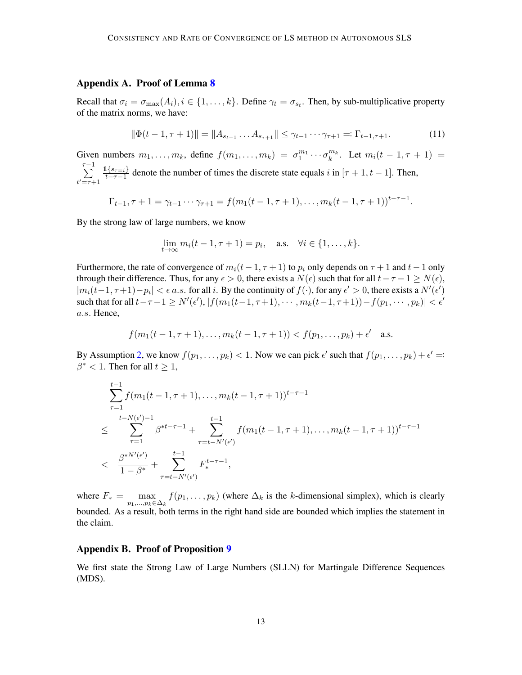## Appendix A. Proof of Lemma [8](#page-5-4)

Recall that  $\sigma_i = \sigma_{\max}(A_i), i \in \{1, ..., k\}$ . Define  $\gamma_t = \sigma_{s_t}$ . Then, by sub-multiplicative property of the matrix norms, we have:

<span id="page-12-1"></span>
$$
\|\Phi(t-1,\tau+1)\| = \|A_{s_{t-1}}\dots A_{s_{\tau+1}}\| \leq \gamma_{t-1}\dots\gamma_{\tau+1} =: \Gamma_{t-1,\tau+1}.\tag{11}
$$

Given numbers  $m_1, \ldots, m_k$ , define  $f(m_1, \ldots, m_k) = \sigma_1^{m_1} \cdots \sigma_k^{m_k}$ . Let  $m_i(t-1, \tau+1) =$  $\sum_{ }^{\tau-1}$  $t' = \tau + 1$  $1\{s_{\tau=i}\}$  $\frac{1\{8\tau=i\}}{t-\tau-1}$  denote the number of times the discrete state equals i in  $[\tau+1, t-1]$ . Then,

$$
\Gamma_{t-1}, \tau+1 = \gamma_{t-1} \cdots \gamma_{\tau+1} = f(m_1(t-1, \tau+1), \ldots, m_k(t-1, \tau+1))^{t-\tau-1}.
$$

By the strong law of large numbers, we know

$$
\lim_{t \to \infty} m_i(t - 1, \tau + 1) = p_i, \text{ a.s. } \forall i \in \{1, ..., k\}.
$$

Furthermore, the rate of convergence of  $m_i(t-1, \tau+1)$  to  $p_i$  only depends on  $\tau+1$  and  $t-1$  only through their difference. Thus, for any  $\epsilon > 0$ , there exists a  $N(\epsilon)$  such that for all  $t - \tau - 1 \ge N(\epsilon)$ ,  $|m_i(t-1,\tau+1)-p_i| < \epsilon \ a.s.$  for all i. By the continuity of  $f(\cdot)$ , for any  $\epsilon' > 0$ , there exists a  $N'(\epsilon')$ such that for all  $t-\tau-1 \ge N'(\epsilon'), |f(m_1(t-1, \tau+1), \cdots, m_k(t-1, \tau+1))-f(p_1, \cdots, p_k)| < \epsilon'$ a.s. Hence,

$$
f(m_1(t-1,\tau+1),\ldots,m_k(t-1,\tau+1)) < f(p_1,\ldots,p_k) + \epsilon'
$$
 a.s.

By Assumption [2,](#page-2-2) we know  $f(p_1, \ldots, p_k) < 1$ . Now we can pick  $\epsilon'$  such that  $f(p_1, \ldots, p_k) + \epsilon' =$  $\beta^*$  < 1. Then for all  $t \geq 1$ ,

$$
\sum_{\tau=1}^{t-1} f(m_1(t-1,\tau+1),\ldots,m_k(t-1,\tau+1))^{t-\tau-1}
$$
\n
$$
\leq \sum_{\tau=1}^{t-N(\epsilon')-1} \beta^{*t-\tau-1} + \sum_{\tau=t-N'(\epsilon')}^{t-1} f(m_1(t-1,\tau+1),\ldots,m_k(t-1,\tau+1))^{t-\tau-1}
$$
\n
$$
< \frac{\beta^{*N'(\epsilon')}}{1-\beta^*} + \sum_{\tau=t-N'(\epsilon')}^{t-1} F_*^{t-\tau-1},
$$

where  $F_* = \max_{p_1,...,p_k \in \Delta_k} f(p_1,...,p_k)$  (where  $\Delta_k$  is the k-dimensional simplex), which is clearly bounded. As a result, both terms in the right hand side are bounded which implies the statement in the claim.

## Appendix B. Proof of Proposition [9](#page-5-5)

<span id="page-12-0"></span>We first state the Strong Law of Large Numbers (SLLN) for Martingale Difference Sequences (MDS).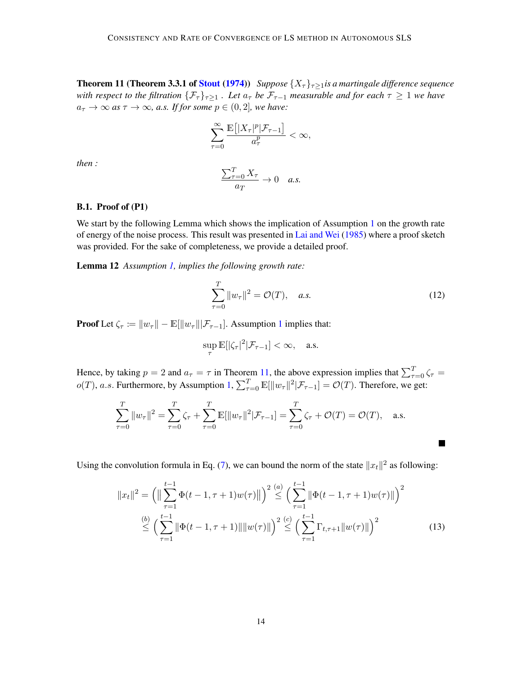**Theorem 11 (Theorem 3.3.1 of [Stout](#page-11-10) [\(1974\)](#page-11-10))** *Suppose*  $\{X_\tau\}_{\tau>1}$ *is a martingale difference sequence with respect to the filtration*  $\{\mathcal{F}_{\tau}\}_{\tau>1}$ . Let  $a_{\tau}$  *be*  $\mathcal{F}_{\tau-1}$  *measurable and for each*  $\tau \geq 1$  *we have*  $a_{\tau} \to \infty$  *as*  $\tau \to \infty$ *, a.s. If for some*  $p \in (0, 2]$ *, we have:* 

$$
\sum_{\tau=0}^{\infty} \frac{\mathbb{E}\left[ |X_{\tau}|^p | \mathcal{F}_{\tau-1} \right]}{a_{\tau}^p} < \infty,
$$

*then :*

$$
\frac{\sum_{\tau=0}^{T} X_{\tau}}{a_T} \to 0 \quad a.s.
$$

### B.1. Proof of (P1)

We start by the following Lemma which shows the implication of Assumption [1](#page-2-1) on the growth rate of energy of the noise process. This result was presented in [Lai and Wei](#page-11-0) [\(1985\)](#page-11-0) where a proof sketch was provided. For the sake of completeness, we provide a detailed proof.

Lemma 12 *Assumption [1,](#page-2-1) implies the following growth rate:*

$$
\sum_{\tau=0}^{T} \|w_{\tau}\|^2 = \mathcal{O}(T), \quad a.s.
$$
 (12)

<span id="page-13-0"></span> $\blacksquare$ 

**Proof** Let  $\zeta_{\tau} := ||w_{\tau}|| - \mathbb{E}[||w_{\tau}|| | \mathcal{F}_{\tau-1}]$  $\zeta_{\tau} := ||w_{\tau}|| - \mathbb{E}[||w_{\tau}|| | \mathcal{F}_{\tau-1}]$  $\zeta_{\tau} := ||w_{\tau}|| - \mathbb{E}[||w_{\tau}|| | \mathcal{F}_{\tau-1}]$ . Assumption 1 implies that:

$$
\sup_{\tau} \mathbb{E}[|\zeta_{\tau}|^2 | \mathcal{F}_{\tau-1}] < \infty, \quad \text{a.s.}
$$

Hence, by taking  $p = 2$  and  $a_{\tau} = \tau$  in Theorem [11,](#page-12-0) the above expression implies that  $\sum_{\tau=0}^{T} \zeta_{\tau} =$  $o(T)$ , a.s. Furthermore, by Assumption [1,](#page-2-1)  $\sum_{\tau=0}^{T} \mathbb{E}[\Vert w_{\tau} \Vert^{2} | \mathcal{F}_{\tau-1}] = \mathcal{O}(T)$ . Therefore, we get:

$$
\sum_{\tau=0}^{T} ||w_{\tau}||^{2} = \sum_{\tau=0}^{T} \zeta_{\tau} + \sum_{\tau=0}^{T} \mathbb{E}[||w_{\tau}||^{2} | \mathcal{F}_{\tau-1}] = \sum_{\tau=0}^{T} \zeta_{\tau} + \mathcal{O}(T) = \mathcal{O}(T), \text{ a.s.}
$$

Using the convolution formula in Eq. [\(7\)](#page-5-3), we can bound the norm of the state  $||x_t||^2$  as following:

$$
||x_t||^2 = \left( \left\|\sum_{\tau=1}^{t-1} \Phi(t-1,\tau+1)w(\tau) \right\| \right)^2 \stackrel{(a)}{\leq} \left( \sum_{\tau=1}^{t-1} \|\Phi(t-1,\tau+1)w(\tau)\| \right)^2
$$
  

$$
\stackrel{(b)}{\leq} \left( \sum_{\tau=1}^{t-1} \|\Phi(t-1,\tau+1)\| \|w(\tau)\| \right)^2 \stackrel{(c)}{\leq} \left( \sum_{\tau=1}^{t-1} \Gamma_{t,\tau+1} \|w(\tau)\| \right)^2
$$
 (13)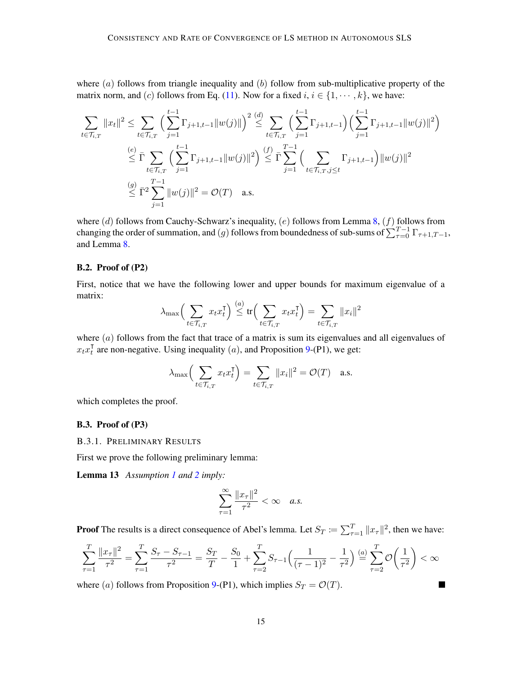where  $(a)$  follows from triangle inequality and  $(b)$  follow from sub-multiplicative property of the matrix norm, and (c) follows from Eq. [\(11\)](#page-12-1). Now for a fixed  $i, i \in \{1, \dots, k\}$ , we have:

$$
\sum_{t \in \mathcal{T}_{i,T}} \|x_t\|^2 \leq \sum_{t \in \mathcal{T}_{i,T}} \left( \sum_{j=1}^{t-1} \Gamma_{j+1,t-1} \|w(j)\| \right)^2 \stackrel{(d)}{\leq} \sum_{t \in \mathcal{T}_{i,T}} \left( \sum_{j=1}^{t-1} \Gamma_{j+1,t-1} \right) \left( \sum_{j=1}^{t-1} \Gamma_{j+1,t-1} \|w(j)\|^2 \right)
$$
\n
$$
\stackrel{(e)}{\leq} \bar{\Gamma} \sum_{t \in \mathcal{T}_{i,T}} \left( \sum_{j=1}^{t-1} \Gamma_{j+1,t-1} \|w(j)\|^2 \right) \stackrel{(f)}{\leq} \bar{\Gamma} \sum_{j=1}^{T-1} \left( \sum_{t \in \mathcal{T}_{i,T}, j \leq t} \Gamma_{j+1,t-1} \right) \|w(j)\|^2
$$
\n
$$
\stackrel{(g)}{\leq} \bar{\Gamma}^2 \sum_{j=1}^{T-1} \|w(j)\|^2 = \mathcal{O}(T) \quad \text{a.s.}
$$

where (d) follows from Cauchy-Schwarz's inequality, (e) follows from Lemma [8,](#page-5-4) (f) follows from changing the order of summation, and  $(g)$  follows from boundedness of sub-sums of  $\sum_{\tau=0}^{T-1} \Gamma_{\tau+1,T-1}$ , and Lemma [8.](#page-5-4)

## B.2. Proof of (P2)

First, notice that we have the following lower and upper bounds for maximum eigenvalue of a matrix:  $(a)$ 

$$
\lambda_{\max}\Big(\sum_{t\in\mathcal{T}_{i,T}}x_{t}x_{t}^{\intercal}\Big) \stackrel{(a)}{\leq} \text{tr}\Big(\sum_{t\in\mathcal{T}_{i,T}}x_{t}x_{t}^{\intercal}\Big) = \sum_{t\in\mathcal{T}_{i,T}}\|x_{i}\|^{2}
$$

where (a) follows from the fact that trace of a matrix is sum its eigenvalues and all eigenvalues of  $x_t x_t^{\intercal}$  $_t^{\dagger}$  are non-negative. Using inequality (*a*), and Proposition [9-](#page-5-5)(P1), we get:

$$
\lambda_{\max}\Big(\sum_{t \in \mathcal{T}_{i,T}} x_t x_t^{\mathsf{T}}\Big) = \sum_{t \in \mathcal{T}_{i,T}} \|x_t\|^2 = \mathcal{O}(T) \quad \text{a.s.}
$$

which completes the proof.

## B.3. Proof of (P3)

B.3.1. PRELIMINARY RESULTS

First we prove the following preliminary lemma:

Lemma 13 *Assumption [1](#page-2-1) and [2](#page-2-2) imply:*

<span id="page-14-0"></span>
$$
\sum_{\tau=1}^{\infty} \frac{\|x_{\tau}\|^2}{\tau^2} < \infty \quad a.s.
$$

**Proof** The results is a direct consequence of Abel's lemma. Let  $S_T := \sum_{\tau=1}^T ||x_\tau||^2$ , then we have:

$$
\sum_{\tau=1}^T \frac{||x_\tau||^2}{\tau^2} = \sum_{\tau=1}^T \frac{S_\tau - S_{\tau-1}}{\tau^2} = \frac{S_T}{T} - \frac{S_0}{1} + \sum_{\tau=2}^T S_{\tau-1} \left( \frac{1}{(\tau-1)^2} - \frac{1}{\tau^2} \right) \stackrel{(a)}{=} \sum_{\tau=2}^T \mathcal{O}\left(\frac{1}{\tau^2}\right) < \infty
$$

 $\blacksquare$ 

<span id="page-14-1"></span>where (a) follows from Proposition [9-](#page-5-5)(P1), which implies  $S_T = \mathcal{O}(T)$ .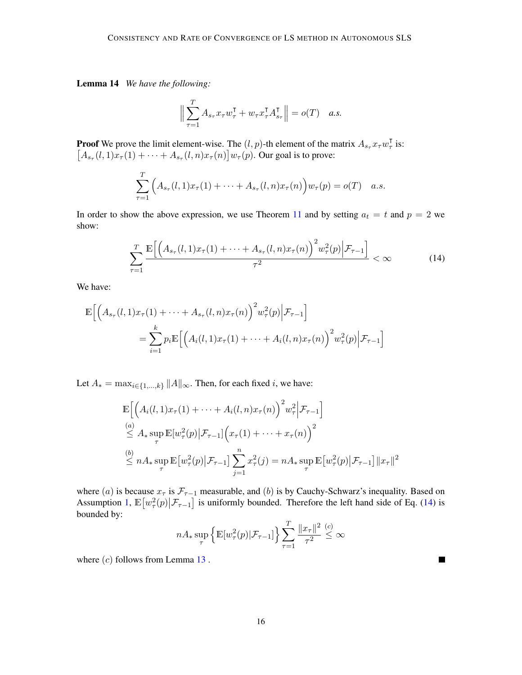Lemma 14 *We have the following:*

<span id="page-15-0"></span>
$$
\Big\|\sum_{\tau=1}^T A_{s_\tau} x_\tau w_\tau^{\intercal} + w_\tau x_\tau^{\intercal} A_{s_\tau}^{\intercal} \Big\| = o(T) \quad a.s.
$$

**Proof** We prove the limit element-wise. The  $(l, p)$ -th element of the matrix  $A_{s_{\tau}} x_{\tau} w_{\tau}^{\mathsf{T}}$  $_{\tau}^{\intercal}$  is:  $[A_{s_{\tau}}(l,1)x_{\tau}(1)+\cdots+A_{s_{\tau}}(l,n)x_{\tau}(n)]w_{\tau}(p)$ . Our goal is to prove:

$$
\sum_{\tau=1}^T \Big( A_{s_{\tau}}(l,1)x_{\tau}(1) + \cdots + A_{s_{\tau}}(l,n)x_{\tau}(n) \Big) w_{\tau}(p) = o(T) \quad a.s.
$$

In order to show the above expression, we use Theorem [11](#page-12-0) and by setting  $a_t = t$  and  $p = 2$  we show:

$$
\sum_{\tau=1}^{T} \frac{\mathbb{E}\Big[\Big(A_{s_{\tau}}(l,1)x_{\tau}(1)+\cdots+A_{s_{\tau}}(l,n)x_{\tau}(n)\Big)^2 w_{\tau}^2(p) \Big|\mathcal{F}_{\tau-1}\Big]}{\tau^2} < \infty \tag{14}
$$

We have:

$$
\mathbb{E}\Big[\Big(A_{s_{\tau}}(l,1)x_{\tau}(1)+\cdots+A_{s_{\tau}}(l,n)x_{\tau}(n)\Big)^{2}w_{\tau}^{2}(p)\Big|\mathcal{F}_{\tau-1}\Big]
$$
\n
$$
=\sum_{i=1}^{k}p_{i}\mathbb{E}\Big[\Big(A_{i}(l,1)x_{\tau}(1)+\cdots+A_{i}(l,n)x_{\tau}(n)\Big)^{2}w_{\tau}^{2}(p)\Big|\mathcal{F}_{\tau-1}\Big]
$$

Let  $A_* = \max_{i \in \{1, ..., k\}} \|A\|_{\infty}$ . Then, for each fixed i, we have:

$$
\mathbb{E}\Big[\Big(A_i(l,1)x_\tau(1) + \dots + A_i(l,n)x_\tau(n)\Big)^2 w_\tau^2 \Big|\mathcal{F}_{\tau-1}\Big]
$$
\n  
\n
$$
\stackrel{(a)}{\leq} A_* \sup_{\tau} \mathbb{E}[w_\tau^2(p)|\mathcal{F}_{\tau-1}]\Big(x_\tau(1) + \dots + x_\tau(n)\Big)^2
$$
\n  
\n
$$
\stackrel{(b)}{\leq} nA_* \sup_{\tau} \mathbb{E}[w_\tau^2(p)|\mathcal{F}_{\tau-1}]\sum_{j=1}^n x_\tau^2(j) = nA_* \sup_{\tau} \mathbb{E}[w_\tau^2(p)|\mathcal{F}_{\tau-1}]\|x_\tau\|^2
$$

where (a) is because  $x_{\tau}$  is  $\mathcal{F}_{\tau-1}$  measurable, and (b) is by Cauchy-Schwarz's inequality. Based on Assumption [1,](#page-2-1)  $\mathbb{E}[w_{\tau}^2(p)|\mathcal{F}_{\tau-1}]$  is uniformly bounded. Therefore the left hand side of Eq. [\(14\)](#page-15-0) is bounded by:

$$
nA_{*} \sup_{\tau} \left\{ \mathbb{E}[w_{\tau}^{2}(p)|\mathcal{F}_{\tau-1}] \right\} \sum_{\tau=1}^{T} \frac{||x_{\tau}||^{2}}{\tau^{2}} \stackrel{(c)}{\leq} \infty
$$

 $\blacksquare$ 

where  $(c)$  follows from Lemma [13](#page-14-0).